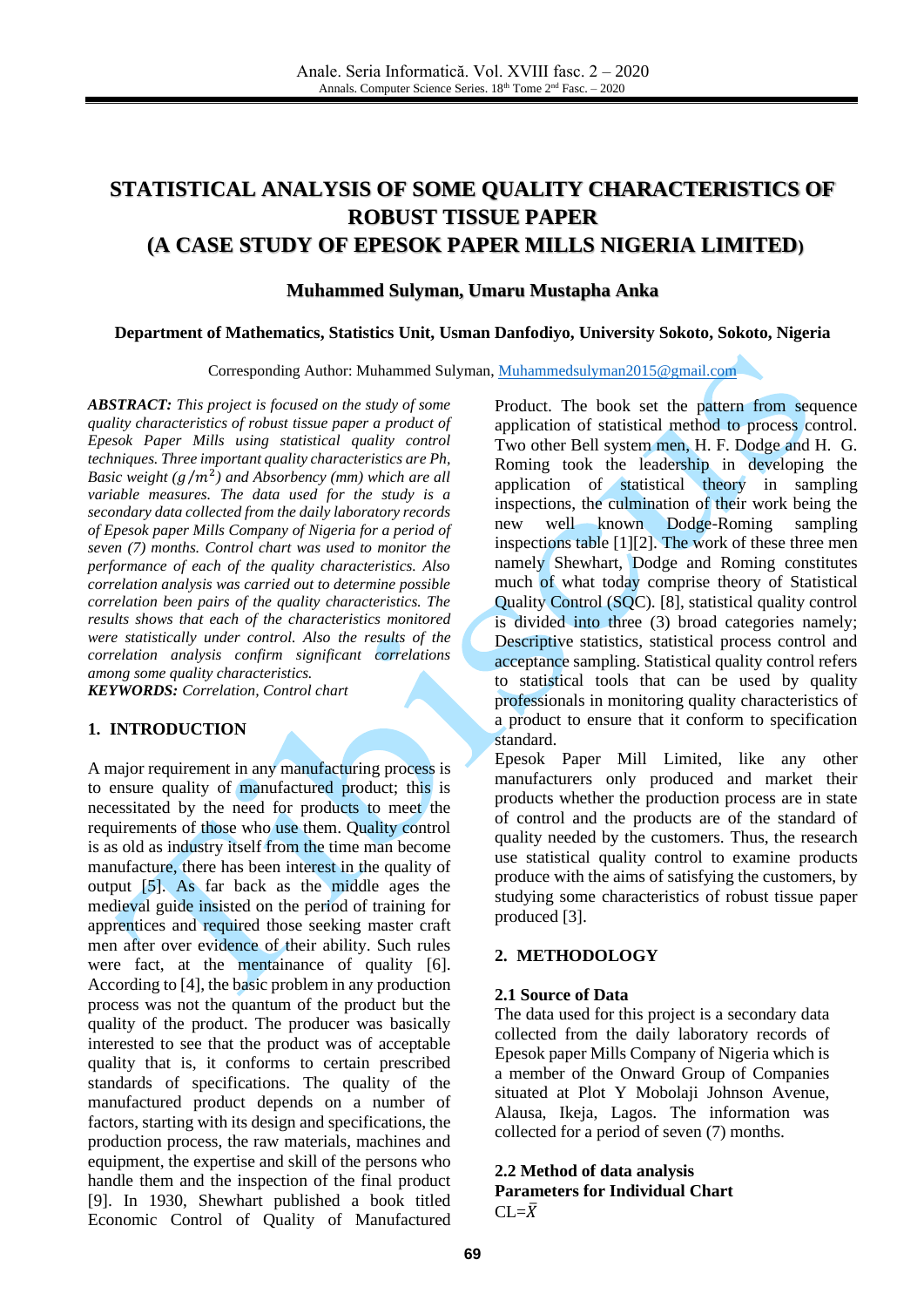# **STATISTICAL ANALYSIS OF SOME QUALITY CHARACTERISTICS OF ROBUST TISSUE PAPER (A CASE STUDY OF EPESOK PAPER MILLS NIGERIA LIMITED)**

#### **Muhammed Sulyman, Umaru Mustapha Anka**

#### **Department of Mathematics, Statistics Unit, Usman Danfodiyo, University Sokoto, Sokoto, Nigeria**

Corresponding Author: Muhammed Sulyman, [Muhammedsulyman2015@gmail.com](mailto:Muhammedsulyman2015@gmail.com)

*ABSTRACT: This project is focused on the study of some quality characteristics of robust tissue paper a product of Epesok Paper Mills using statistical quality control techniques. Three important quality characteristics are Ph, Basic weight*  $(g/m^2)$  and Absorbency (mm) which are all *variable measures. The data used for the study is a secondary data collected from the daily laboratory records of Epesok paper Mills Company of Nigeria for a period of seven (7) months. Control chart was used to monitor the performance of each of the quality characteristics. Also correlation analysis was carried out to determine possible correlation been pairs of the quality characteristics. The results shows that each of the characteristics monitored were statistically under control. Also the results of the correlation analysis confirm significant correlations among some quality characteristics.* 

*KEYWORDS: Correlation, Control chart*

# **1. INTRODUCTION**

A major requirement in any manufacturing process is to ensure quality of manufactured product; this is necessitated by the need for products to meet the requirements of those who use them. Quality control is as old as industry itself from the time man become manufacture, there has been interest in the quality of output [\[5\].](#page-4-0) As far back as the middle ages the medieval guide insisted on the period of training for apprentices and required those seeking master craft men after over evidence of their ability. Such rules were fact, at the mentainance of quality [\[6\].](#page-4-1) According t[o \[4\],](#page-4-2) the basic problem in any production process was not the quantum of the product but the quality of the product. The producer was basically interested to see that the product was of acceptable quality that is, it conforms to certain prescribed standards of specifications. The quality of the manufactured product depends on a number of factors, starting with its design and specifications, the production process, the raw materials, machines and equipment, the expertise and skill of the persons who handle them and the inspection of the final product [\[9\].](#page-4-3) In 1930, Shewhart published a book titled Economic Control of Quality of Manufactured Product. The book set the pattern from sequence application of statistical method to process control. Two other Bell system men, H. F. Dodge and H. G. Roming took the leadership in developing the application of statistical theory in sampling inspections, the culmination of their work being the new well known Dodge-Roming sampling inspections table [\[1\]](#page-4-4)[\[2\].](#page-4-5) The work of these three men namely Shewhart, Dodge and Roming constitutes much of what today comprise theory of Statistical Quality Control (SQC). [\[8\],](#page-4-6) statistical quality control is divided into three (3) broad categories namely; Descriptive statistics, statistical process control and acceptance sampling. Statistical quality control refers to statistical tools that can be used by quality professionals in monitoring quality characteristics of a product to ensure that it conform to specification standard.

Epesok Paper Mill Limited, like any other manufacturers only produced and market their products whether the production process are in state of control and the products are of the standard of quality needed by the customers. Thus, the research use statistical quality control to examine products produce with the aims of satisfying the customers, by studying some characteristics of robust tissue paper produced [\[3\].](#page-4-7)

#### **2. METHODOLOGY**

#### **2.1 Source of Data**

The data used for this project is a secondary data collected from the daily laboratory records of Epesok paper Mills Company of Nigeria which is a member of the Onward Group of Companies situated at Plot Y Mobolaji Johnson Avenue, Alausa, Ikeja, Lagos. The information was collected for a period of seven (7) months.

#### **2.2 Method of data analysis Parameters for Individual Chart**

 $CL=\bar{X}$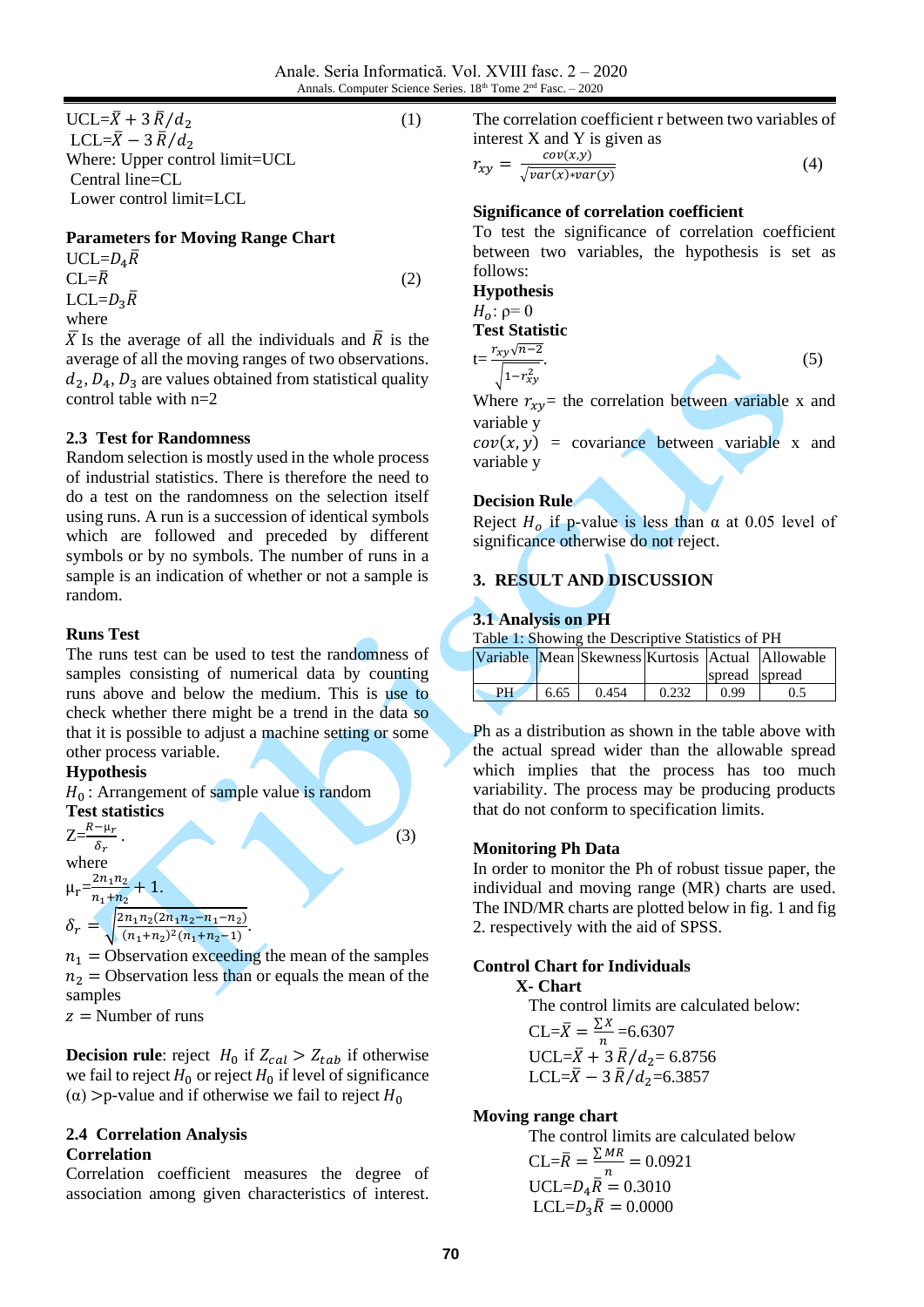$UCL = \bar{X} + 3 \bar{R}/d_2$  (1) LCL= $\bar{X}$  – 3  $\bar{R}/d_2$ Where: Upper control limit=UCL Central line=CL Lower control limit=LCL

#### **Parameters for Moving Range Chart**

 $UCL=D_4\overline{R}$  $CL = \overline{R}$  (2)  $LCL=D_3\overline{R}$ where

 $\overline{X}$  Is the average of all the individuals and  $\overline{R}$  is the average of all the moving ranges of two observations.  $d_2$ ,  $D_4$ ,  $D_3$  are values obtained from statistical quality control table with n=2

#### **2.3 Test for Randomness**

Random selection is mostly used in the whole process of industrial statistics. There is therefore the need to do a test on the randomness on the selection itself using runs. A run is a succession of identical symbols which are followed and preceded by different symbols or by no symbols. The number of runs in a sample is an indication of whether or not a sample is random.

#### **Runs Test**

The runs test can be used to test the randomness of samples consisting of numerical data by counting runs above and below the medium. This is use to check whether there might be a trend in the data so that it is possible to adjust a machine setting or some other process variable.

# **Hypothesis**



 $n_1$  = Observation exceeding the mean of the samples  $n_2$  = Observation less than or equals the mean of the samples

 $z =$  Number of runs

**Decision rule**: reject  $H_0$  if  $Z_{cal} > Z_{tab}$  if otherwise we fail to reject  $H_0$  or reject  $H_0$  if level of significance ( $\alpha$ ) >p-value and if otherwise we fail to reject  $H_0$ 

#### **2.4 Correlation Analysis Correlation**

Correlation coefficient measures the degree of association among given characteristics of interest.

The correlation coefficient r between two variables of interest X and Y is given as

$$
r_{xy} = \frac{cov(x, y)}{\sqrt{var(x)*var(y)}}
$$
(4)

# **Significance of correlation coefficient**

To test the significance of correlation coefficient between two variables, the hypothesis is set as follows:

**Hypothesis**

 $H_0$ : ρ= 0 **Test Statistic**

 $t = \frac{r_{xy}\sqrt{n-2}}{l}$  $\sqrt{1-r_{xy}^2}$ 

$$
\tag{5}
$$

Where  $r_{xy}$  the correlation between variable x and variable y

 $cov(x, y)$  = covariance between variable x and variable y

#### **Decision Rule**

Reject  $H_0$  if p-value is less than  $\alpha$  at 0.05 level of significance otherwise do not reject.

# **3. RESULT AND DISCUSSION**

#### **3.1 Analysis on PH**

Table 1: Showing the Descriptive Statistics of PH

|    |      |       |       |               | Variable Mean Skewness Kurtosis Actual Allowable |
|----|------|-------|-------|---------------|--------------------------------------------------|
|    |      |       |       | spread spread |                                                  |
| PН | 6.65 | 0.454 | 0.232 | O 99          | 0.5                                              |

Ph as a distribution as shown in the table above with the actual spread wider than the allowable spread which implies that the process has too much variability. The process may be producing products that do not conform to specification limits.

#### **Monitoring Ph Data**

In order to monitor the Ph of robust tissue paper, the individual and moving range (MR) charts are used. The IND/MR charts are plotted below in fig. 1 and fig 2. respectively with the aid of SPSS.

#### **Control Chart for Individuals**

#### **X- Chart**

The control limits are calculated below:  $CL = \overline{X} = \frac{\sum X}{n}$  $\frac{1}{n}$  =6.6307  $UCL = \bar{X} + 3 \bar{R}/d_2 = 6.8756$ LCL= $\bar{X}$  – 3  $\bar{R}/d_2$ =6.3857

#### **Moving range chart**

The control limits are calculated below  $CL = \overline{R} = \frac{\sum MR}{n}$  $\frac{mR}{n} = 0.0921$  $UCL = D_4 \overline{R} = 0.3010$  $LCL = D_3 \overline{R} = 0.0000$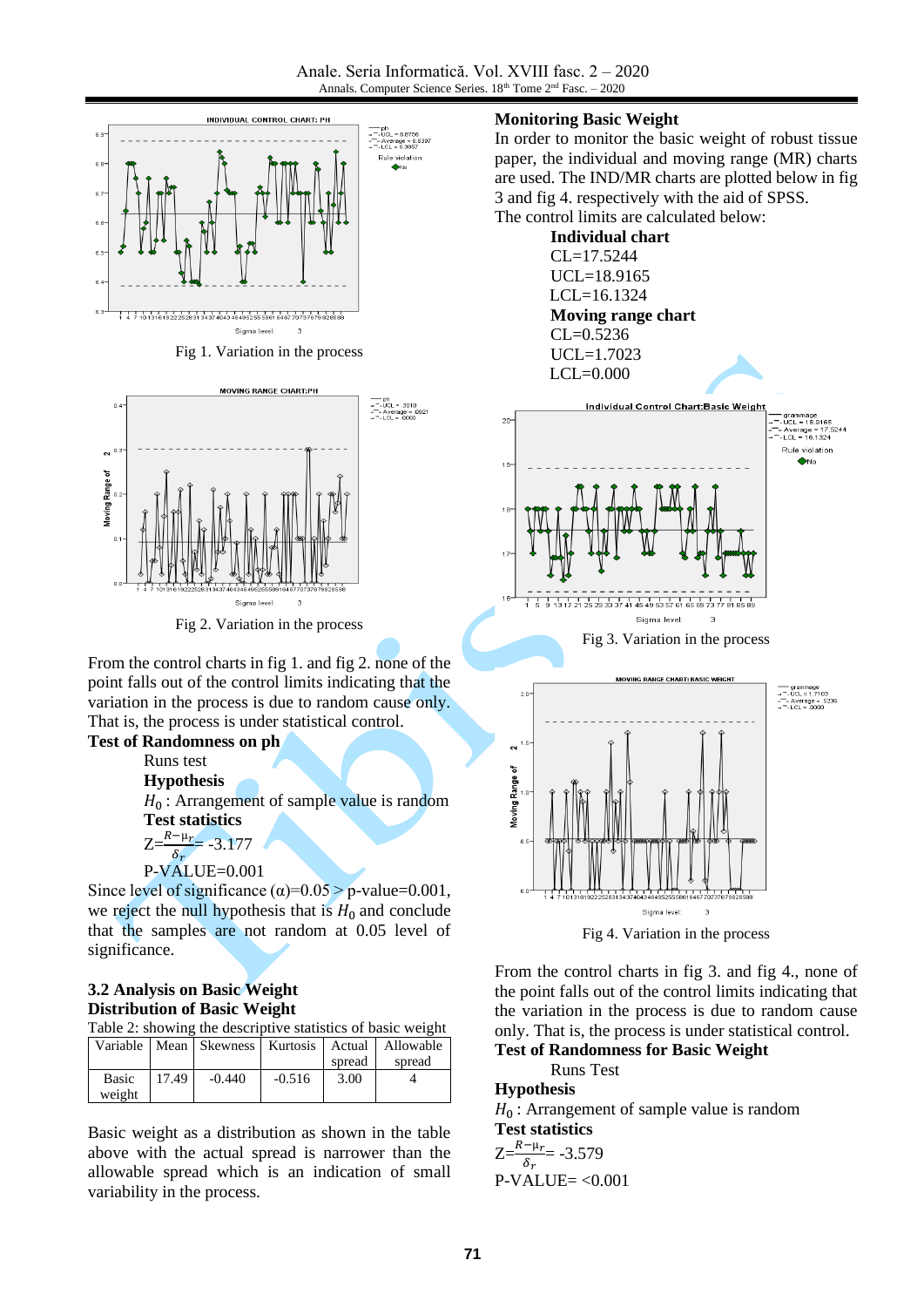

Fig 1. Variation in the process



Fig 2. Variation in the process

From the control charts in fig 1. and fig 2. none of the point falls out of the control limits indicating that the variation in the process is due to random cause only. That is, the process is under statistical control.

# **Test of Randomness on ph**

Runs test

**Hypothesis**

 $H_0$ : Arrangement of sample value is random **Test statistics**

 $Z=\frac{R-\mu_r}{\delta_r}$  = -3.177

```
P-VALUE=0.001
```
Since level of significance  $(\alpha) = 0.05 > p$ -value=0.001, we reject the null hypothesis that is  $H_0$  and conclude that the samples are not random at 0.05 level of significance.

#### **3.2 Analysis on Basic Weight Distribution of Basic Weight**

| Table 2: showing the descriptive statistics of basic weight |       |          |          |        |                                                            |
|-------------------------------------------------------------|-------|----------|----------|--------|------------------------------------------------------------|
|                                                             |       |          |          |        | Variable   Mean   Skewness   Kurtosis   Actual   Allowable |
|                                                             |       |          |          | spread | spread                                                     |
| Basic                                                       | 17.49 | $-0.440$ | $-0.516$ | 3.00   |                                                            |
| weight                                                      |       |          |          |        |                                                            |

Basic weight as a distribution as shown in the table above with the actual spread is narrower than the allowable spread which is an indication of small variability in the process.

#### **Monitoring Basic Weight**

In order to monitor the basic weight of robust tissue paper, the individual and moving range (MR) charts are used. The IND/MR charts are plotted below in fig 3 and fig 4. respectively with the aid of SPSS. The control limits are calculated below:



From the control charts in fig 3. and fig 4., none of the point falls out of the control limits indicating that the variation in the process is due to random cause

only. That is, the process is under statistical control.

**Test of Randomness for Basic Weight** Runs Test

# **Hypothesis**

 $H_0$ : Arrangement of sample value is random **Test statistics**

$$
Z = \frac{R - \mu_r}{\delta_r} = -3.579
$$
  
P-VALUE =  $< 0.001$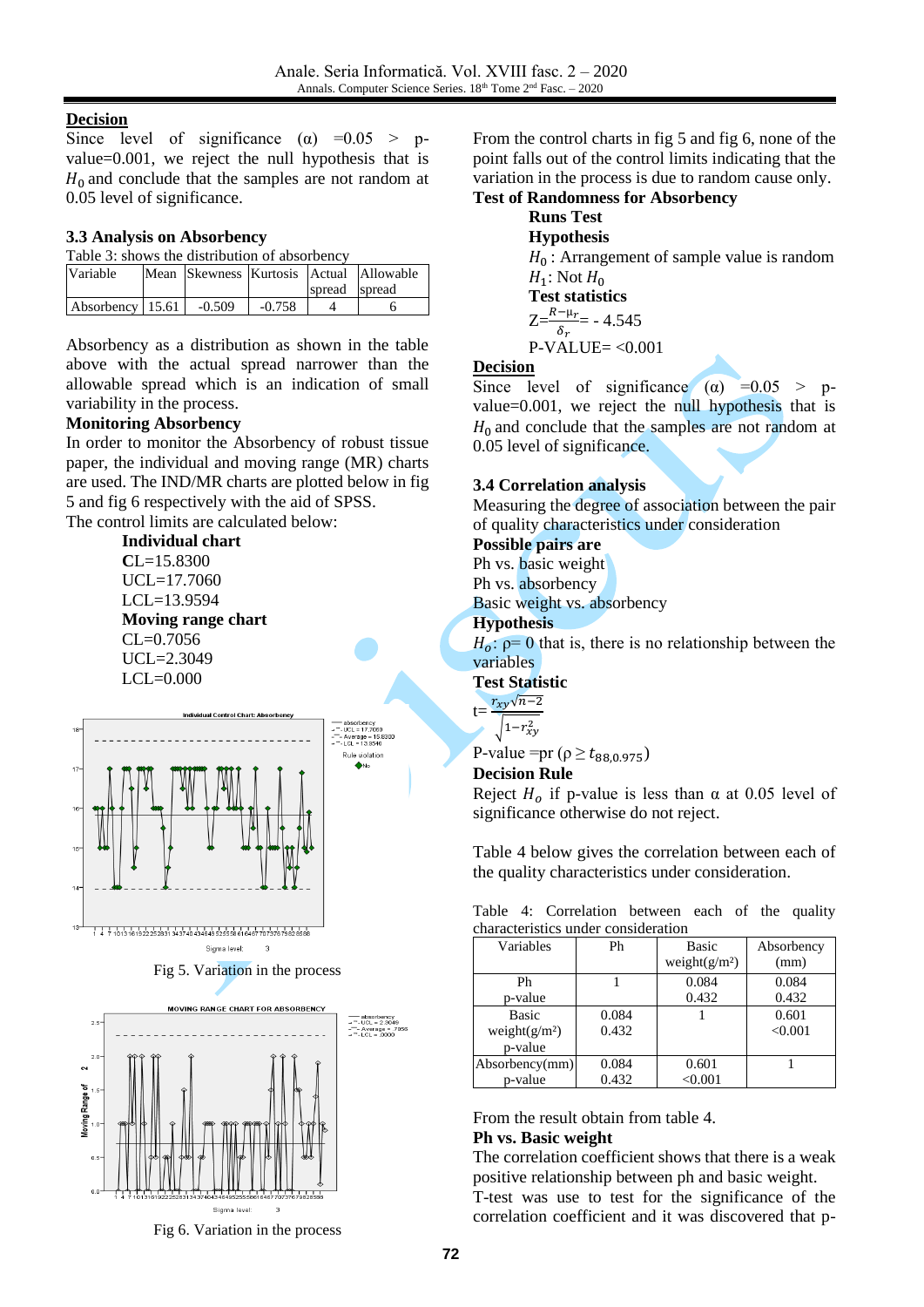#### **Decision**

Since level of significance ( $\alpha$ ) =0.05 > pvalue=0.001, we reject the null hypothesis that is  $H_0$  and conclude that the samples are not random at 0.05 level of significance.

#### **3.3 Analysis on Absorbency**

| Table 3: shows the distribution of absorbency |  |
|-----------------------------------------------|--|

| Variable         |          |          |               | Mean Skewness Kurtosis Actual Allowable |
|------------------|----------|----------|---------------|-----------------------------------------|
|                  |          |          | spread spread |                                         |
| Absorbency 15.61 | $-0.509$ | $-0.758$ |               |                                         |

Absorbency as a distribution as shown in the table above with the actual spread narrower than the allowable spread which is an indication of small variability in the process.

#### **Monitoring Absorbency**

In order to monitor the Absorbency of robust tissue paper, the individual and moving range (MR) charts are used. The IND/MR charts are plotted below in fig 5 and fig 6 respectively with the aid of SPSS.

The control limits are calculated below:

**Individual chart C**L=15.8300 UCL=17.7060 LCL=13.9594 **Moving range chart**  $CL = 0.7056$  $UCI = 2.3049$ LCL=0.000



Fig 5. Variation in the process



Fig 6. Variation in the process

From the control charts in fig 5 and fig 6, none of the point falls out of the control limits indicating that the variation in the process is due to random cause only. **Test of Randomness for Absorbency**

# **Runs Test Hypothesis**  $H_0$ : Arrangement of sample value is random  $H_1$ : Not  $H_0$ **Test statistics**  $Z=\frac{R-\mu_r}{\delta_r}$  - 4.545

P-VALUE= <0.001

### **Decision**

Since level of significance ( $\alpha$ ) =0.05 > pvalue=0.001, we reject the null hypothesis that is  $H_0$  and conclude that the samples are not random at 0.05 level of significance.

#### **3.4 Correlation analysis**

Measuring the degree of association between the pair of quality characteristics under consideration

#### **Possible pairs are**

Ph vs. basic weight

Ph vs. absorbency

Basic weight vs. absorbency

#### **Hypothesis**

 $H_0$ :  $\rho = 0$  that is, there is no relationship between the variables

**Test Statistic**

$$
t = \frac{r_{xy}\sqrt{n-2}}{\sqrt{1-r_{xy}^2}}
$$

P-value =pr ( $\rho \ge t_{88,0.975}$ )

#### **Decision Rule**

Reject  $H_0$  if p-value is less than  $\alpha$  at 0.05 level of significance otherwise do not reject.

Table 4 below gives the correlation between each of the quality characteristics under consideration.

Table 4: Correlation between each of the quality characteristics under consideration

| Variables        | Ph    | <b>Basic</b>     | Absorbency |
|------------------|-------|------------------|------------|
|                  |       | weight $(g/m^2)$ | (mm)       |
| Ph               |       | 0.084            | 0.084      |
| p-value          |       | 0.432            | 0.432      |
| <b>Basic</b>     | 0.084 |                  | 0.601      |
| weight $(g/m^2)$ | 0.432 |                  | < 0.001    |
| p-value          |       |                  |            |
| Absorbency(mm)   | 0.084 | 0.601            |            |
| p-value          | 0.432 | < 0.001          |            |

# From the result obtain from table 4.

#### **Ph vs. Basic weight**

The correlation coefficient shows that there is a weak positive relationship between ph and basic weight.

T-test was use to test for the significance of the correlation coefficient and it was discovered that p